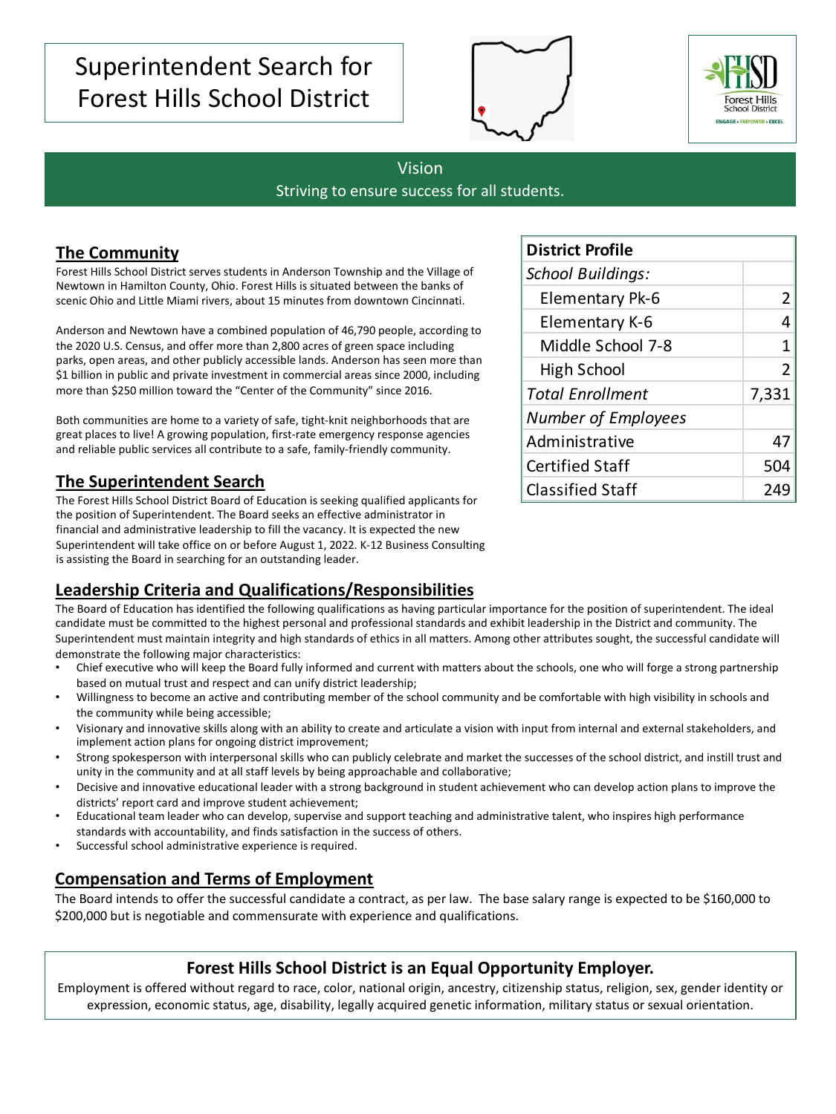# Superintendent Search for Forest Hills School District





#### Vision

Striving to ensure success for all students.

### **The Community**

Forest Hills School District serves students in Anderson Township and the Village of Newtown in Hamilton County, Ohio. Forest Hills is situated between the banks of scenic Ohio and Little Miami rivers, about 15 minutes from downtown Cincinnati.

Anderson and Newtown have a combined population of 46,790 people, according to the 2020 U.S. Census, and offer more than 2,800 acres of green space including parks, open areas, and other publicly accessible lands. Anderson has seen more than \$1 billion in public and private investment in commercial areas since 2000, including more than \$250 million toward the "Center of the Community" since 2016.

Both communities are home to a variety of safe, tight-knit neighborhoods that are great places to live! A growing population, first-rate emergency response agencies and reliable public services all contribute to a safe, family-friendly community.

#### **The Superintendent Search**

The Forest Hills School District Board of Education is seeking qualified applicants for the position of Superintendent. The Board seeks an effective administrator in financial and administrative leadership to fill the vacancy. It is expected the new Superintendent will take office on or before August 1, 2022. K-12 Business Consulting is assisting the Board in searching for an outstanding leader.

#### **Leadership Criteria and Qualifications/Responsibilities**

The Board of Education has identified the following qualifications as having particular importance for the position of superintendent. The ideal candidate must be committed to the highest personal and professional standards and exhibit leadership in the District and community. The Superintendent must maintain integrity and high standards of ethics in all matters. Among other attributes sought, the successful candidate will demonstrate the following major characteristics:

- Chief executive who will keep the Board fully informed and current with matters about the schools, one who will forge a strong partnership based on mutual trust and respect and can unify district leadership;
- Willingness to become an active and contributing member of the school community and be comfortable with high visibility in schools and the community while being accessible;
- Visionary and innovative skills along with an ability to create and articulate a vision with input from internal and external stakeholders, and implement action plans for ongoing district improvement;
- Strong spokesperson with interpersonal skills who can publicly celebrate and market the successes of the school district, and instill trust and unity in the community and at all staff levels by being approachable and collaborative;
- Decisive and innovative educational leader with a strong background in student achievement who can develop action plans to improve the districts' report card and improve student achievement;
- Educational team leader who can develop, supervise and support teaching and administrative talent, who inspires high performance standards with accountability, and finds satisfaction in the success of others.
- Successful school administrative experience is required.

### **Compensation and Terms of Employment**

The Board intends to offer the successful candidate a contract, as per law. The base salary range is expected to be \$160,000 to \$200,000 but is negotiable and commensurate with experience and qualifications.

#### **Forest Hills School District is an Equal Opportunity Employer.**

Employment is offered without regard to race, color, national origin, ancestry, citizenship status, religion, sex, gender identity or expression, economic status, age, disability, legally acquired genetic information, military status or sexual orientation.

| <b>District Profile</b>    |                |  |
|----------------------------|----------------|--|
| <b>School Buildings:</b>   |                |  |
| <b>Elementary Pk-6</b>     | 2              |  |
| Elementary K-6             | 4              |  |
| Middle School 7-8          | 1              |  |
| High School                | $\overline{2}$ |  |
| <b>Total Enrollment</b>    | 7,331          |  |
| <b>Number of Employees</b> |                |  |
| Administrative             | 47             |  |
| <b>Certified Staff</b>     | 504            |  |
| <b>Classified Staff</b>    |                |  |